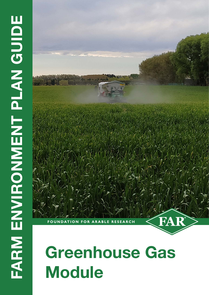# FARM ENVIRONENT PLAN GUIDE **FARM ENVIRONMENT PLAN GUIDE**

# **Greenhouse Gas Module**

**FOUNDATION FOR ARABLE RESEARCH** 

FA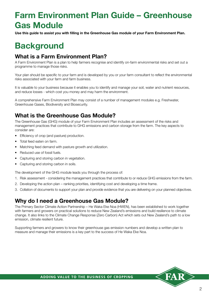# **Farm Environment Plan Guide – Greenhouse Gas Module**

**Use this guide to assist you with filling in the Greenhouse Gas module of your Farm Environment Plan.**

# **Background**

### **What is a Farm Environment Plan?**

A Farm Environment Plan is a plan to help farmers recognise and identify on-farm environmental risks and set out a programme to manage those risks.

Your plan should be specific to your farm and is developed by you or your farm consultant to reflect the environmental risks associated with your farm and farm business.

It is valuable to your business because it enables you to identify and manage your soil, water and nutrient resources, and reduce losses - which cost you money and may harm the environment.

A comprehensive Farm Environment Plan may consist of a number of management modules e.g. Freshwater, Greenhouse Gases, Biodiversity and Biosecurity.

### **What is the Greenhouse Gas Module?**

The Greenhouse Gas (GHG) module of your Farm Environment Plan includes an assessment of the risks and management practices that contribute to GHG emissions and carbon storage from the farm. The key aspects to consider are:

- Efficiency of crop (and pasture) production.
- Total feed eaten on farm.
- Matching feed demand with pasture growth and utilization.
- Reduced use of fossil fuels.
- Capturing and storing carbon in vegetation.
- Capturing and storing carbon in soils.

The development of the GHG module leads you through the process of:

- 1. Risk assessment considering the management practices that contribute to or reduce GHG emissions from the farm.
- 2. Developing the action plan ranking priorities, identifying cost and developing a time frame.
- 3. Collation of documents to support your plan and provide evidence that you are delivering on your planned objectives.

### **Why do I need a Greenhouse Gas Module?**

The Primary Sector Climate Action Partnership – He Waka Eke Noa (HWEN), has been established to work together with farmers and growers on practical solutions to reduce New Zealand's emissions and build resilience to climate change. It also links to the Climate Change Response (Zero Carbon) Act which sets out New Zealand's path to a low emission, climate resilient future.

Supporting farmers and growers to know their greenhouse gas emission numbers and develop a written plan to measure and manage their emissions is a key part to the success of He Waka Eke Noa.

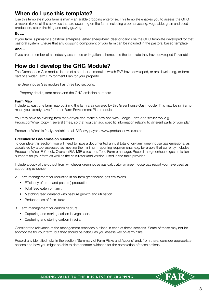### **When do I use this template?**

Use this template if your farm is mainly an arable cropping enterprise. This template enables you to assess the GHG emission risk of all the activities that are occurring on the farm, including crop harvesting, vegetable, grain and seed production, stock finishing and dairy grazing.

### **But…**

If your farm is primarily a pastoral enterprise; either sheep/beef, deer or dairy, use the GHG template developed for that pastoral system. Ensure that any cropping component of your farm can be included in the pastoral based template.

### **And…**

If you are a member of an industry assurance or irrigation scheme, use the template they have developed if available.

### **How do I develop the GHG Module?**

The Greenhouse Gas module is one of a number of modules which FAR have developed, or are developing, to form part of a wider Farm Environment Plan for your property.

The Greenhouse Gas module has three key sections:

1. Property details, farm maps and the GHG emission numbers.

### **Farm Map**

Include at least one farm map outlining the farm area covered by this Greenhouse Gas module. This may be similar to maps you already have for other Farm Environment Plan modules.

You may have an existing farm map or you can make a new one with Google Earth or a similar tool e.g. ProductionWise. Copy it several times, so that you can add specific information relating to different parts of your plan.

ProductionWise® is freely available to all FAR levy payers. www.productionwise.co.nz

### **Greenhouse Gas emission numbers**

To complete this section, you will need to have a documented annual total of on-farm greenhouse gas emissions, as calculated by a tool assessed as meeting the minimum reporting requirements (e.g. for arable that currently includes ProductionWise, E-Check, OverseerFM, MfE calculator, Toitu Farm emanage). Record the greenhouse gas emission numbers for your farm as well as the calculator (and version) used in the table provided.

Include a copy of the output from whichever greenhouse gas calculator or greenhouse gas report you have used as supporting evidence.

2. Farm management for reduction in on-farm greenhouse gas emissions.

- Efficiency of crop (and pasture) production.
- Total feed eaten on farm.
- Matching feed demand with pasture growth and utilisation.
- Reduced use of fossil fuels.
- 3. Farm management for carbon capture.
	- Capturing and storing carbon in vegetation.
	- Capturing and storing carbon in soils.

Consider the relevance of the management practices outlined in each of these sections. Some of these may not be appropriate for your farm, but they should be helpful as you assess key on-farm risks.

Record any identified risks in the section "Summary of Farm Risks and Actions" and, from there, consider appropriate actions and how you might be able to demonstrate evidence for the completion of these actions.